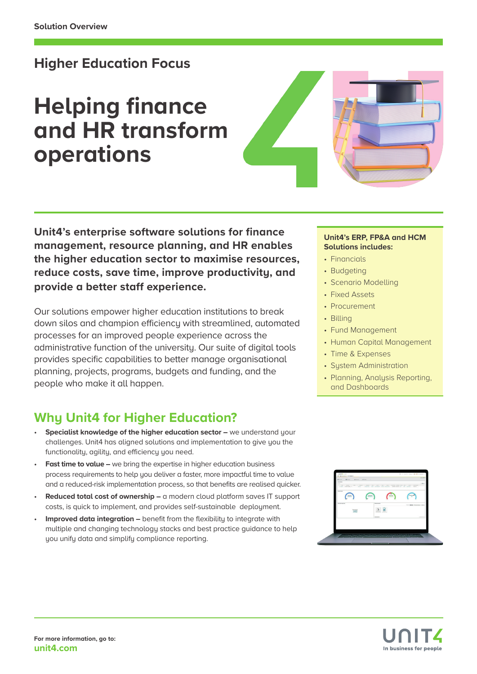# **Higher Education Focus**

# **Helping finance and HR transform operations**



**Unit4's enterprise software solutions for finance management, resource planning, and HR enables the higher education sector to maximise resources, reduce costs, save time, improve productivity, and provide a better staff experience.**

Our solutions empower higher education institutions to break down silos and champion efficiency with streamlined, automated processes for an improved people experience across the administrative function of the university. Our suite of digital tools provides specific capabilities to better manage organisational planning, projects, programs, budgets and funding, and the people who make it all happen.

# **Why Unit4 for Higher Education?**

- **Specialist knowledge of the higher education sector –** we understand your challenges. Unit4 has aligned solutions and implementation to give you the functionalitu, agilitu, and efficiencu you need.
- **Fast time to value –** we bring the expertise in higher education business process requirements to help you deliver a faster, more impactful time to value and a reduced-risk implementation process, so that benefits are realised quicker.
- **Reduced total cost of ownership –** a modern cloud platform saves IT support costs, is quick to implement, and provides self-sustainable deployment.
- **Improved data integration –** benefit from the flexibility to integrate with multiple and changing technology stacks and best practice guidance to help you unify data and simplify compliance reporting.

#### **Unit4's ERP, FP&A and HCM Solutions includes:**

- Financials
- Budgeting
- Scenario Modelling
- Fixed Assets
- Procurement
- Billing
- Fund Management
- Human Capital Management
- Time & Expenses
- Sustem Administration
- Planning, Analysis Reporting, and Dashboards